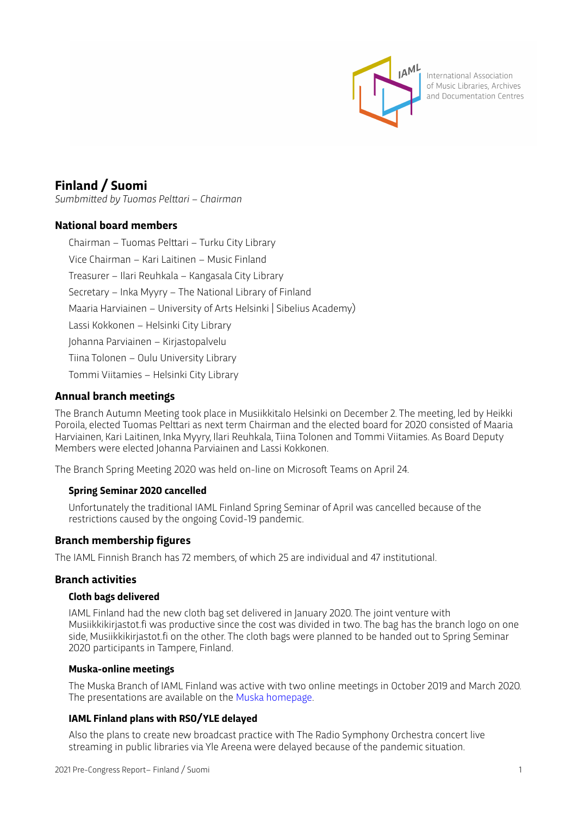

International Association of Music Libraries, Archives and Documentation Centres

# **Finland / Suomi**

*Sumbmitted by Tuomas Pelttari – Chairman*

# **National board members**

Chairman – Tuomas Pelttari – Turku City Library Vice Chairman – Kari Laitinen – Music Finland Treasurer – Ilari Reuhkala – Kangasala City Library Secretary – Inka Myyry – The National Library of Finland Maaria Harviainen – University of Arts Helsinki | Sibelius Academy) Lassi Kokkonen – Helsinki City Library Johanna Parviainen – Kirjastopalvelu Tiina Tolonen – Oulu University Library Tommi Viitamies – Helsinki City Library

# **Annual branch meetings**

The Branch Autumn Meeting took place in Musiikkitalo Helsinki on December 2. The meeting, led by Heikki Poroila, elected Tuomas Pelttari as next term Chairman and the elected board for 2020 consisted of Maaria Harviainen, Kari Laitinen, Inka Myyry, Ilari Reuhkala, Tiina Tolonen and Tommi Viitamies. As Board Deputy Members were elected Johanna Parviainen and Lassi Kokkonen.

The Branch Spring Meeting 2020 was held on-line on Microsoft Teams on April 24.

# **Spring Seminar 2020 cancelled**

Unfortunately the traditional IAML Finland Spring Seminar of April was cancelled because of the restrictions caused by the ongoing Covid-19 pandemic.

# **Branch membership figures**

The IAML Finnish Branch has 72 members, of which 25 are individual and 47 institutional.

# **Branch activities**

# **Cloth bags delivered**

IAML Finland had the new cloth bag set delivered in January 2020. The joint venture with Musiikkikirjastot.fi was productive since the cost was divided in two. The bag has the branch logo on one side, Musiikkikirjastot.fi on the other. The cloth bags were planned to be handed out to Spring Seminar 2020 participants in Tampere, Finland.

#### **Muska-online meetings**

The Muska Branch of IAML Finland was active with two online meetings in October 2019 and March 2020. The presentations are available on the [Muska homepage.](https://www.musiikkioppilaitoskirjastolaiset.fi/category/webinaarit/)

# **IAML Finland plans with RSO/YLE delayed**

Also the plans to create new broadcast practice with The Radio Symphony Orchestra concert live streaming in public libraries via Yle Areena were delayed because of the pandemic situation.